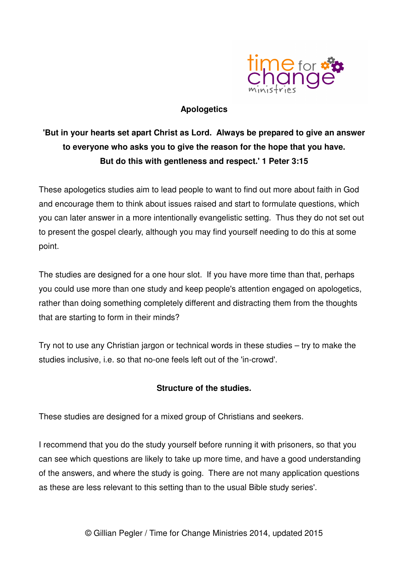

## **Apologetics**

## **'But in your hearts set apart Christ as Lord. Always be prepared to give an answer to everyone who asks you to give the reason for the hope that you have. But do this with gentleness and respect.' 1 Peter 3:15**

These apologetics studies aim to lead people to want to find out more about faith in God and encourage them to think about issues raised and start to formulate questions, which you can later answer in a more intentionally evangelistic setting. Thus they do not set out to present the gospel clearly, although you may find yourself needing to do this at some point.

The studies are designed for a one hour slot. If you have more time than that, perhaps you could use more than one study and keep people's attention engaged on apologetics, rather than doing something completely different and distracting them from the thoughts that are starting to form in their minds?

Try not to use any Christian jargon or technical words in these studies – try to make the studies inclusive, i.e. so that no-one feels left out of the 'in-crowd'.

## **Structure of the studies.**

These studies are designed for a mixed group of Christians and seekers.

I recommend that you do the study yourself before running it with prisoners, so that you can see which questions are likely to take up more time, and have a good understanding of the answers, and where the study is going. There are not many application questions as these are less relevant to this setting than to the usual Bible study series'.